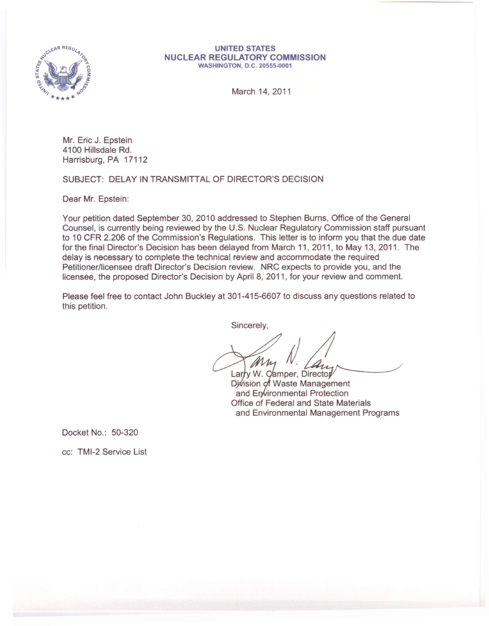

## **UNITED STATES NUCLEAR REGULATORY COMMISSION** WASHINGTON, D.C. 20555-0001

March 14, 2011

Mr. Eric J. Epstein 4100 Hillsdale Rd. Harrisburg, PA 17112

SUBJECT: DELAY IN TRANSMITTAL OF DIRECTOR'S DECISION

Dear Mr. Epstein:

Your petition dated September 30, 2010 addressed to Stephen Burns, Office of the General Counsel, is currently being reviewed by the U.S. Nuclear Regulatory Commission staff pursuant to 10 CFR 2.206 of the Commission's Regulations. This letter is to inform you that the due date for the final Director's Decision has been delayed from March 11, 2011, to May 13, 2011. The delay is necessary to complete the technical review and accommodate the required Petitioner/licensee draft Director's Decision review. NRC expects to provide you, and the licensee, the proposed Director's Decision by April 8, 2011, for your review and comment.

Please feel free to contact John Buckley at 301-415-6607 to discuss any questions related to this petition.

Sincerely,

Mm

Larry W. Camper, Director Division of Waste Management and Environmental Protection Office of Federal and State Materials and Environmental Management Programs

Docket No.: 50-320

cc: TMI-2 Service List